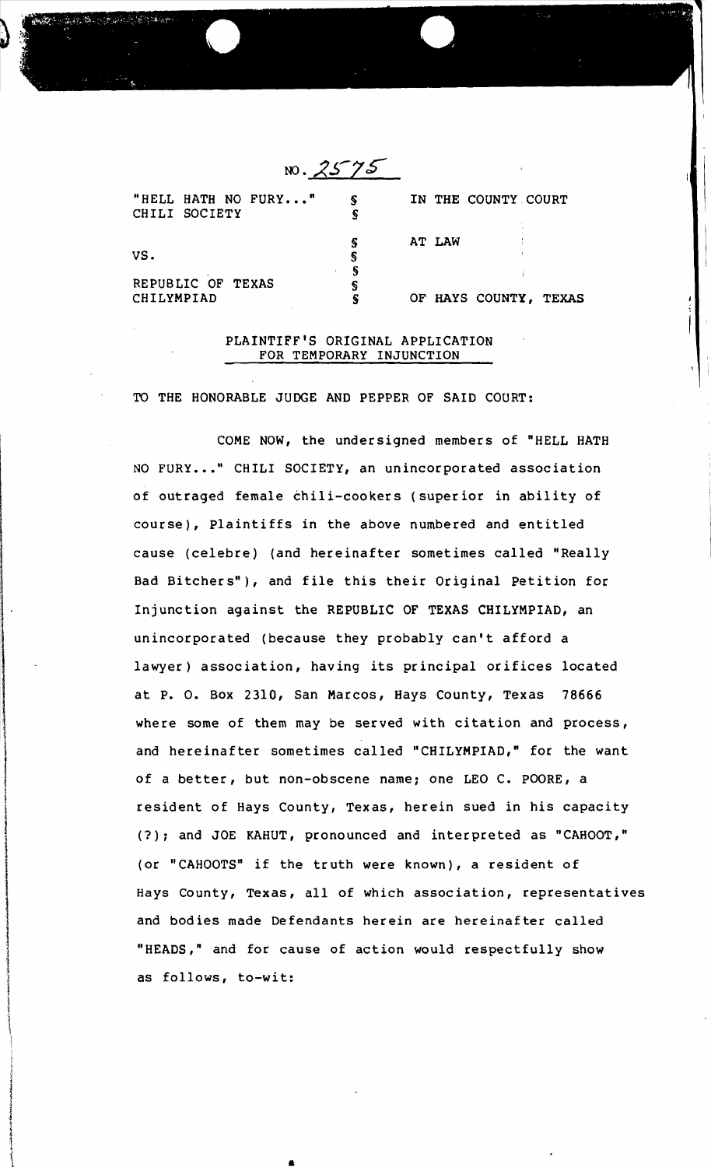| $M \cdot \lambda J \neq 0$           |             |        |                       |  |
|--------------------------------------|-------------|--------|-----------------------|--|
| "HELL HATH NO FURY"<br>CHILI SOCIETY | S           |        | IN THE COUNTY COURT   |  |
| VS.                                  | S<br>S<br>S | AT LAW |                       |  |
| REPUBLIC OF TEXAS<br>CHILYMPIAD      | S           |        | OF HAYS COUNTY, TEXAS |  |

クぐクぐ

### PLAINTIFF'S ORIGINAL APPLICATION FOR TEMPORARY INJUNCTION

TO THE HONORABLE JUDGE AND PEPPER OF SAID COURT:

COME NOW, the undersigned members of "HELL HATH NO FURY..." CHILI SOCIETY, an unincorporated association of outraged female chili-cookers (superior in ability of course), Plaintiffs in the above numbered and entitled cause (celebre) (and hereinafter sometimes called "Really Bad Bitchers"), and file this their Original Petition for Injunction against the REPUBLIC OF TEXAS CHILYMPIAD, an unincorporated (because they probably can't afford a lawyer) association, having its principal orifices located at P. O. Box 2310, San Marcos, Hays County, Texas 78666 where some of them may be served with citation and process, and hereinafter sometimes called "CHILYMPIAD," for the want of a better, but non-obscene name; one LEO C. POORE, a resident of Hays County, Texas, herein sued in his capacity (?); and JOE KAHUT, pronounced and interpreted as "CAHOOT," (or "CAHOOTS" if the truth were known), a resident of Hays County, Texas, all of which association, representatives and bodies made Defendants herein are hereinafter called "HEADS," and for cause of action would respectfully show as follows, to-wit:

•

andro a construction allows a stage of the construction of the construction of the construction of the construction of the construction of the construction of the construction of the construction of the construction of the

1944 An Ealtham **International Access** 

unan Japanese selam tersebut

in 1974 (State and Printer) and Colorador (State and Theorem and Theorem and Theorem and Theorem and Theorem a<br>Note and Theorem and Theorem and Theorem and Theorem and Theorem and Theorem and Theorem and Theorem and Theore j tent Titonamaland<br>I

t entered I , I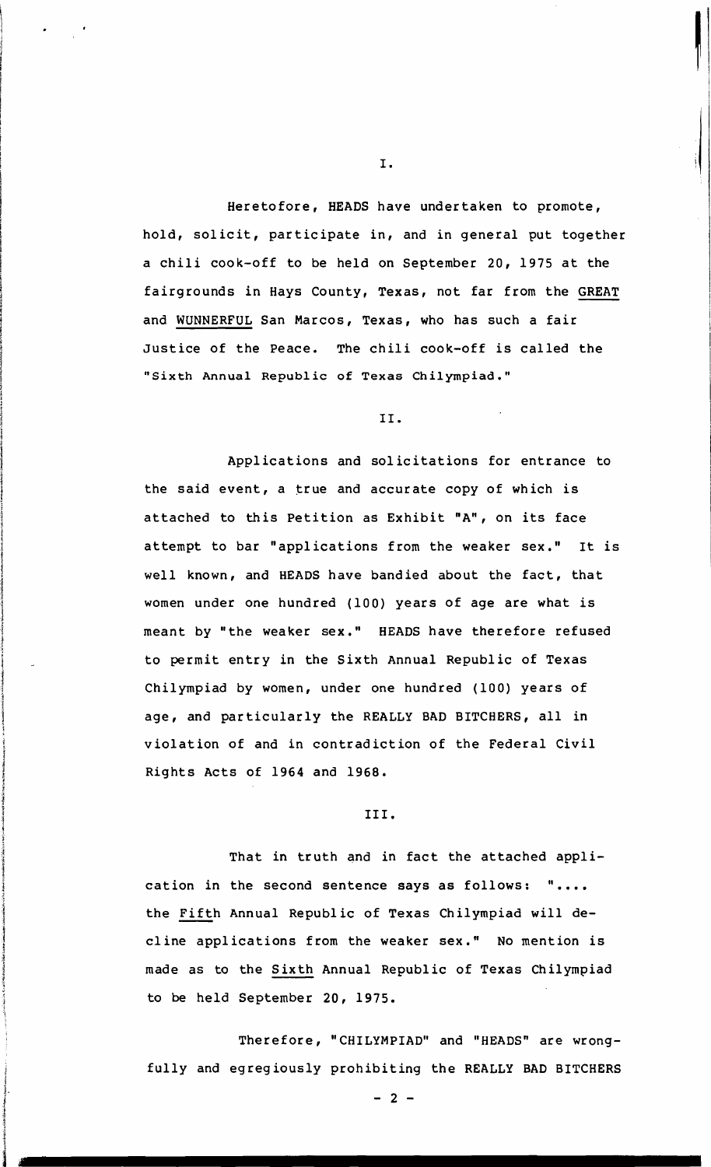Heretofore, HEADS have undertaken to promote, hold, solicit, participate in, and in general put together a chili cook-off to be held on September 20, 1975 at the fairgrounds in Hays County, Texas, not far from the GREAT and WUNNERFUL San Marcos, Texas, who has such a fair Justice of the Peace. The chili cook-off is called the "Sixth Annual Republic of Texas Chilympiad."

# II.

Applications and solicitations for entrance to the said event, a true and accurate copy of which is attached to this Petition as Exhibit "A", on its face attempt to bar "applications from the weaker sex." It is well known, and HEADS have bandied about the fact, that women under one hundred (100) years of age are what is meant by "the weaker sex." HEADS have therefore refused to permit entry in the Sixth Annual Republic of Texas Chilympiad by women, under one hundred (100) years of age, and particularly the REALLY BAD BITCHERS, all in violation of and in contradiction of the Federal Civil Rights Acts of 1964 and 1968.

#### III.

That in truth and in fact the attached application in the second sentence says as follows: ".... the Fifth Annual Republic of Texas Chilympiad will decline applications from the weaker sex." No mention is made as to the Sixth Annual Republic of Texas Chilympiad to be held September 20, 1975.

fully and egregiously prohibiting the REALLY BAD BITCHERS Therefore, "CHILYMPIAD" and "HEADS" are wrong-

of microcoline 1. *i*  ing Silvers 1 til promokratististi<br>1 i<br>Indonésia<br>I 1.

,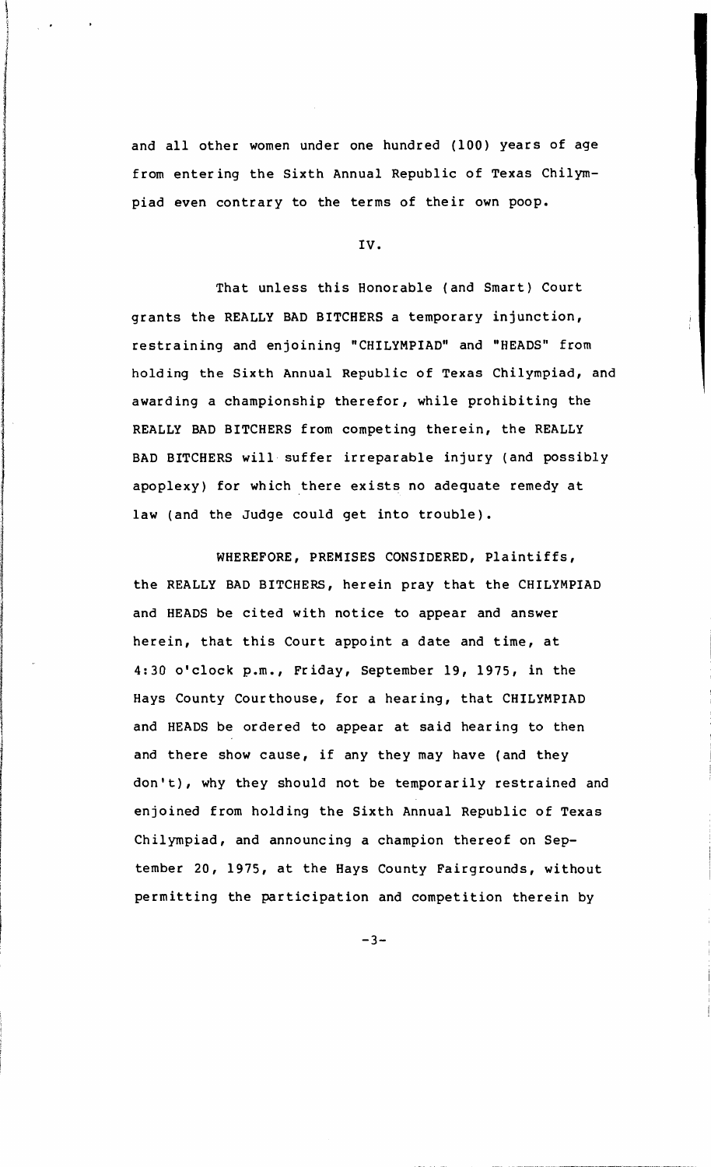and all other women under one hundred (100) years of age from entering the Sixth Annual Republic of Texas Chilympiad even contrary to the terms of their own poop.

industri<br>1

ina di sebagai kecamatan dan kecamatan dan kecamatan di sebagai kecamatan dan kecamatan dan kecamatan dan keca<br>Inggris dan kecamatan dan kecamatan dan kecamatan dan kecamatan dan kecamatan dan kecamatan dan kecamatan dan

I

 $\label{eq:3} \frac{1}{2}\sum_{i=1}^{n-1} \frac{1}{2} \sum_{j=1}^{n-1} \frac{1}{2} \sum_{j=1}^{n-1} \frac{1}{2} \sum_{j=1}^{n-1} \frac{1}{2} \sum_{j=1}^{n-1} \frac{1}{2} \sum_{j=1}^{n-1} \frac{1}{2} \sum_{j=1}^{n-1} \frac{1}{2} \sum_{j=1}^{n-1} \frac{1}{2} \sum_{j=1}^{n-1} \frac{1}{2} \sum_{j=1}^{n-1} \frac{1}{2} \sum_{j=1}^{n-1} \frac{1}{$ 

IV.

That unless this Honorable (and Smart) Court grants the REALLY BAD BITCHERS a temporary injunction, restraining and enjoining "CHILYMPIAD" and "HEADS" from holding the Sixth Annual Republic of Texas Chilympiad, and awarding a championship therefor, while prohibiting the REALLY BAD BITCHERS from competing therein, the REALLY BAD BITCHERS will suffer irreparable injury (and possibly apoplexy) for which there exists no adequate remedy at law (and the Judge could get into trouble).

WHEREFORE, PREMISES CONSIDERED, Plaintiffs, the REALLY BAD BITCHERS, herein pray that the CHILYMPIAD and HEADS be cited with notice to appear and answer herein, that this Court appoint a date and time, at 4:30 o'clock p.m., Friday, September 19, 1975, in the Hays County Courthouse, for a hearing, that CHILYMPIAD and HEADS be ordered to appear at said hearing to then and there show cause, if any they may have (and they don't), why they should not be temporarily restrained and enjoined from holding the Sixth Annual Republic of Texas Chilympiad, and announcing a champion thereof on September 20, 1975, at the Hays County Fairgrounds, without permitting the participation and competition therein by

 $-3-$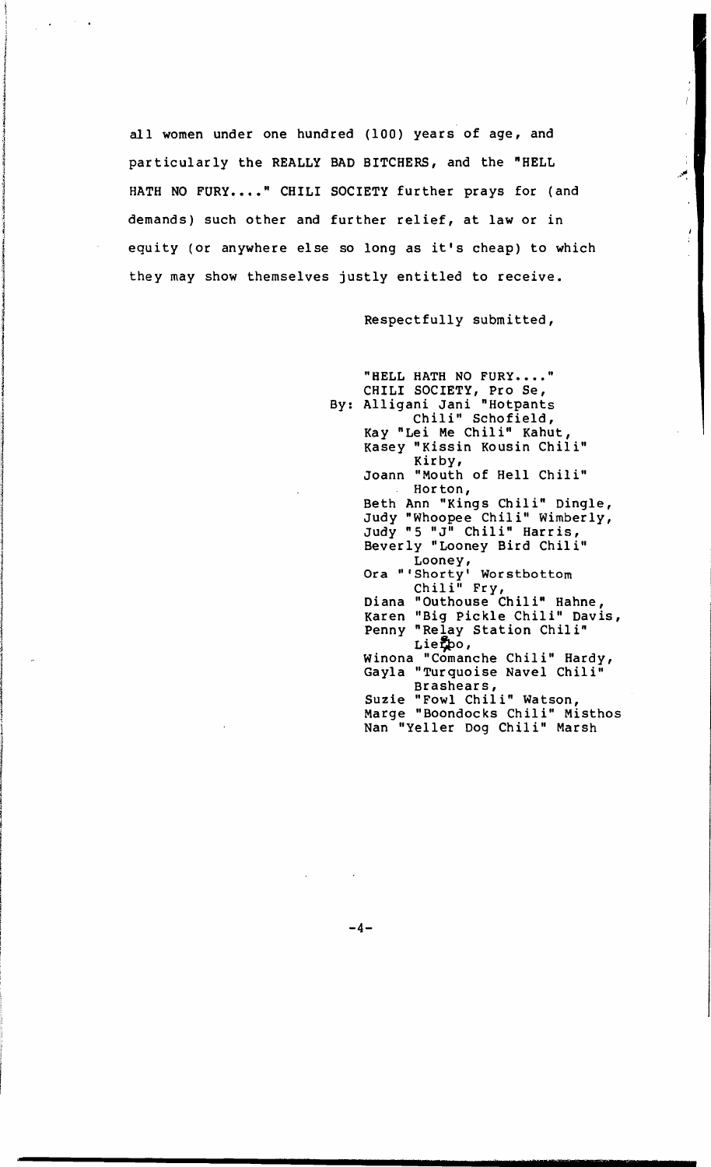all women under one hundred (100) years of age, and particularly the REALLY BAD BITCHERS, and the "HELL HATH NO FURY...." CHILI SOCIETY further prays for (and demands) such other and further relief, at law or in equity (or anywhere else so long as it's cheap) to which they may show themselves justly entitled to receive.

 $\frac{1}{2}$  ,  $\frac{1}{2}$  ,  $\frac{1}{2}$  ,  $\frac{1}{2}$  ,  $\frac{1}{2}$ 

Respectfully submitted,

"HELL HATH NO FURY...." CHILI SOCIETY, Pro Se, By: Alligani Jani "Hotpants Chili" Schofield, Kay "Lei Me Chili" Kahut, Kasey "Kissin Kousin Chili" Kirby, Joann "Mouth of Hell Chili" Horton, Beth Ann "Kings Chili" Dingle, Judy "Whoopee Chili" Wimberly, Judy "5 "J" Chili" Harris, Beverly "Looney Bird Chili" Looney, Ora "'Shorty' Worstbottom Chili" Fry, Diana "Outhouse Chili" Hahne, Karen "Big Pickle Chili" Davis, Penny "Relay Station Chili"  $Lie$ to, Winona "Comanche Chili" Hardy, Gayla "Turquoise Navel Chili" Brashears, Suzie "Fowl Chili" Watson, Marge "Boondocks Chili" Misthos Nan "Yeller Dog Chili" Marsh

 $-4-$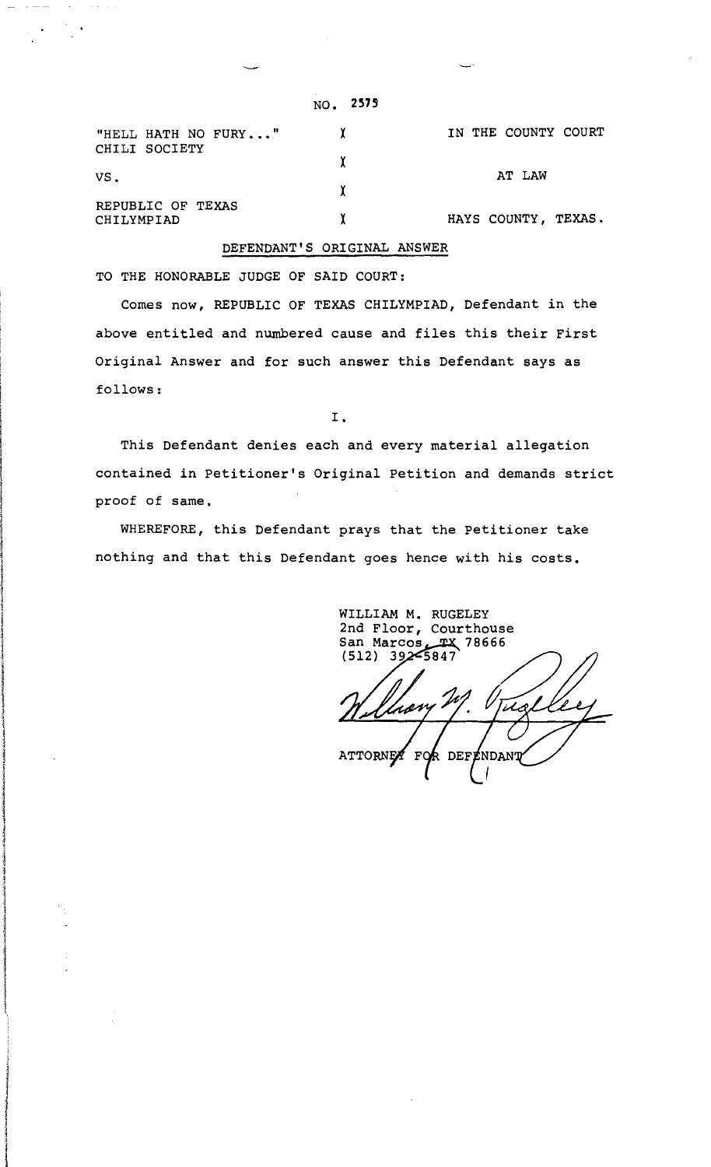| "HELL HATH NO FURY"<br>CHILI SOCIETY | Y. | IN THE COUNTY COURT |
|--------------------------------------|----|---------------------|
| VS.                                  |    | AT LAW              |
| REPUBLIC OF TEXAS<br>CHILYMPIAD      |    | HAYS COUNTY, TEXAS. |

**NO. 2575** 

### DEFENDANT'S ORIGINAL ANSWER

TO THE HONORABLE JUDGE OF SAID COURT:

Comes now, REPUBLIC OF TEXAS CHILYMPIAD, Defendant in the above entitled and numbered cause and files this their First Original Answer and for such answer this Defendant says as follows:

I.

This Defendant denies each and every material allegation contained in petitioner's Original Petition and demands strict proof of same.

WHEREFORE, this Defendant prays that the Petitioner take nothing and that this Defendant goes hence with his costs.

WILLIAM M. RUGELEY 2nd Floor, Courthouse<br>San Marcos, TX 78666<br>(512) 392-5847 **TX 78666** lion 1 'iLA.  $\bullet$ **ATTORNEZ** R DEFENDANT  $FQ$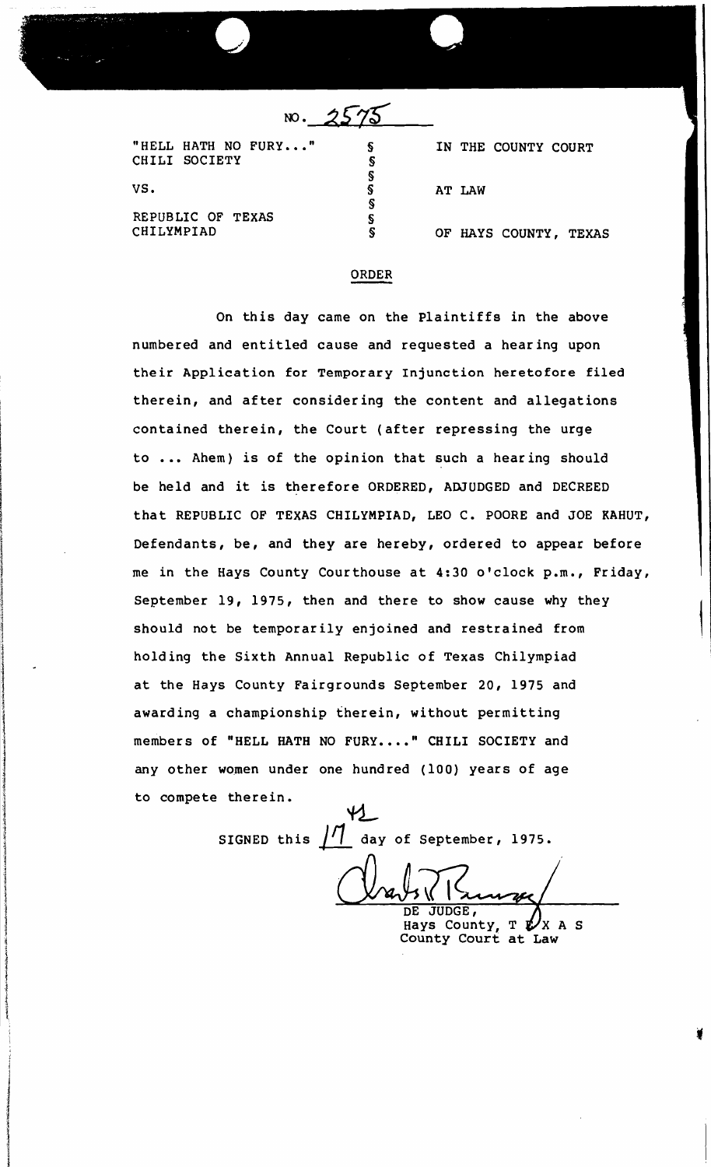NO.  $2575$ 

*.i* 

je podredno premier<br>1990 – Politika Brazilia (premier podredno premier podredno premier podredno premier podredno premier podredn<br>1990 – Politika Brazilia (premier podredno premier podredno premier podredno premier podredn

I

I

| "HELL HATH NO FURY"<br>CHILI SOCIETY | S      | IN THE COUNTY COURT   |
|--------------------------------------|--------|-----------------------|
| VS.                                  | S      | AT LAW                |
| REPUBLIC OF TEXAS<br>CHILYMPIAD      | 6<br>s | OF HAYS COUNTY, TEXAS |

### ORDER

On this day came on the Plaintiffs in the above numbered and entitled cause and requested a hearing upon their Application for Temporary Injunction heretofore filed therein, and after considering the content and allegations contained therein, the Court (after repressing the urge to ... Ahem) is of the opinion that such a hearing should be held and it is therefore ORDERED, ADJUDGED and DECREED that REPUBLIC OF TEXAS CHILYMPIAD, LEO C. POORE and JOE KAHUT, Defendants, be, and they are hereby, ordered to appear before me in the Hays County Courthouse at 4:30 o'clock p.m., Friday, September 19, 1975, then and there to show cause why they should not be temporarily enjoined and restrained from holding the Sixth Annual Republic of Texas Chi1ympiad at the Hays County Fairgrounds September 20, 1975 and awarding a championship therein, without permitting members of "HELL HATH NO FURY...." CHILI SOCIETY and any other women under one hundred (100) years of age to compete therein.

SIGNED this  $\frac{1}{1}$  day of September, 1975.

DE JUDGE,

Hays County, T  $\mathcal{L}'$ X A S County Court at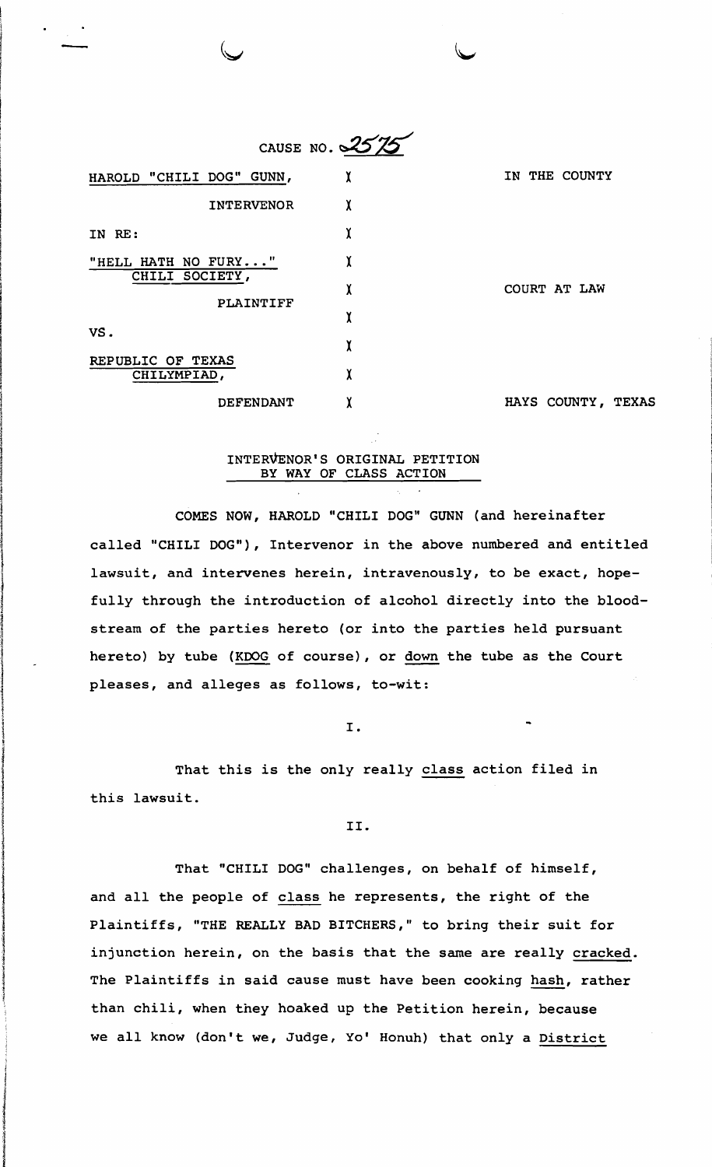|                                       | CAUSE NO. 2575 |                    |
|---------------------------------------|----------------|--------------------|
| HAROLD "CHILI DOG" GUNN,              |                | IN THE COUNTY      |
| <b>INTERVENOR</b>                     | χ              |                    |
| IN RE:                                | X              |                    |
| "HELL HATH NO FURY"<br>CHILI SOCIETY, | X              |                    |
| PLAINTIFF                             | X              | COURT AT LAW       |
|                                       | X              |                    |
| VS.                                   | X              |                    |
| REPUBLIC OF TEXAS<br>CHILYMPIAD,      | χ              |                    |
| DEFENDANT                             |                | HAYS COUNTY, TEXAS |

.<br>—<br>—

# INTERVENOR'S ORIGINAL PETITION BY WAY OF CLASS ACTION

COMES NOW, HAROLD "CHILI DOG" GUNN (and hereinafter called "CHILI DOG"), Intervenor in the above numbered and entitled lawsuit, and intervenes herein, intravenously, to be exact, hopefully through the introduction of alcohol directly into the bloodstream of the parties hereto (or into the parties held pursuant hereto) by tube (KDOG of course), or down the tube as the Court pleases, and alleges as follows, to-wit:

I.

That this is the only really class action filed in this lawsuit.

### II.

That "CHILI DOG" challenges, on behalf of himself, and all the people of class he represents, the right of the Plaintiffs, "THE REALLY BAD BITCHERS," to bring their suit for injunction herein, on the basis that the same are really cracked. The Plaintiffs in said cause must have been cooking hash, rather than chili, when they hoaked up the Petition herein, because we all know (don't we, Judge, Yo' Honuh) that only a District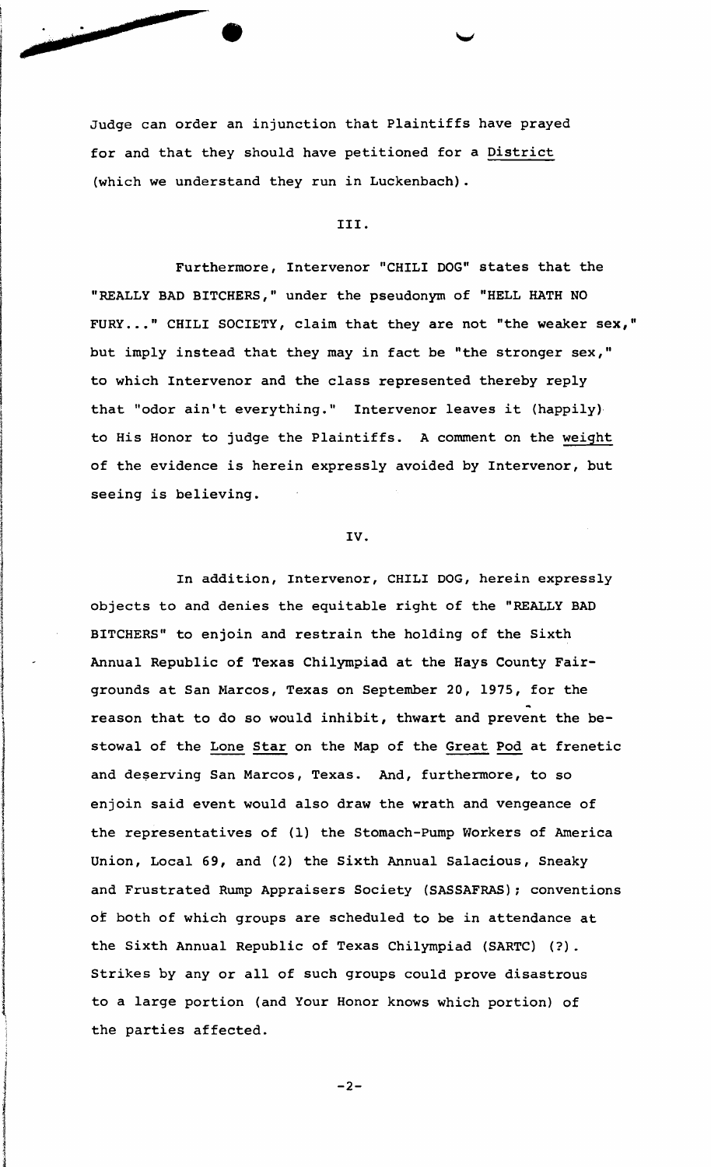Judge can order an injunction that Plaintiffs have prayed for and that they should have petitioned for a District (which we understand they run in Luckenbach) .

., ; I

*J:* 

1 1 J

I

III.

Furthermore, Intervenor "CHILI DOG" states that the "REALLY BAD BITCHERS," under the pseudonym of "HELL HATH NO FURY..." CHILI SOCIETY, claim that they are not "the weaker sex," but imply instead that they may in fact be "the stronger sex," to which Intervenor and the class represented thereby reply that "odor ain't everything." Intervenor leaves it (happily) to His Honor to jUdge the Plaintiffs. A comment on the weight of the evidence is herein expressly avoided by Intervenor, but seeing is believing.

### IV.

In addition, Intervenor, CHILI DOG, herein expressly objects to and denies the equitable right of the "REALLY BAD BITCHERS" to enjoin and restrain the holding of the Sixth Annual Republic of Texas Chilympiad at the Hays County Fairgrounds at San Marcos, Texas on September 20, 1975, for the reason that to do so would inhibit, thwart and prevent the bestowal of the Lone Star on the Map of the Great Pod at frenetic and deserving San Marcos, Texas. And, furthermore, to so enjoin said event would also draw the wrath and vengeance of the representatives of (1) the Stomach-Pump Workers of America Union, Local 69, and (2) the Sixth Annual Salacious, Sneaky and Frustrated Rump Appraisers Society (SASSAFRAS); conventions of both of which groups are scheduled to be in attendance at the Sixth Annual Republic of Texas Chilympiad (SARTC) (?). Strikes by any or all of such groups could prove disastrous to a large portion (and Your Honor knows which portion) of the parties affected.

 $-2$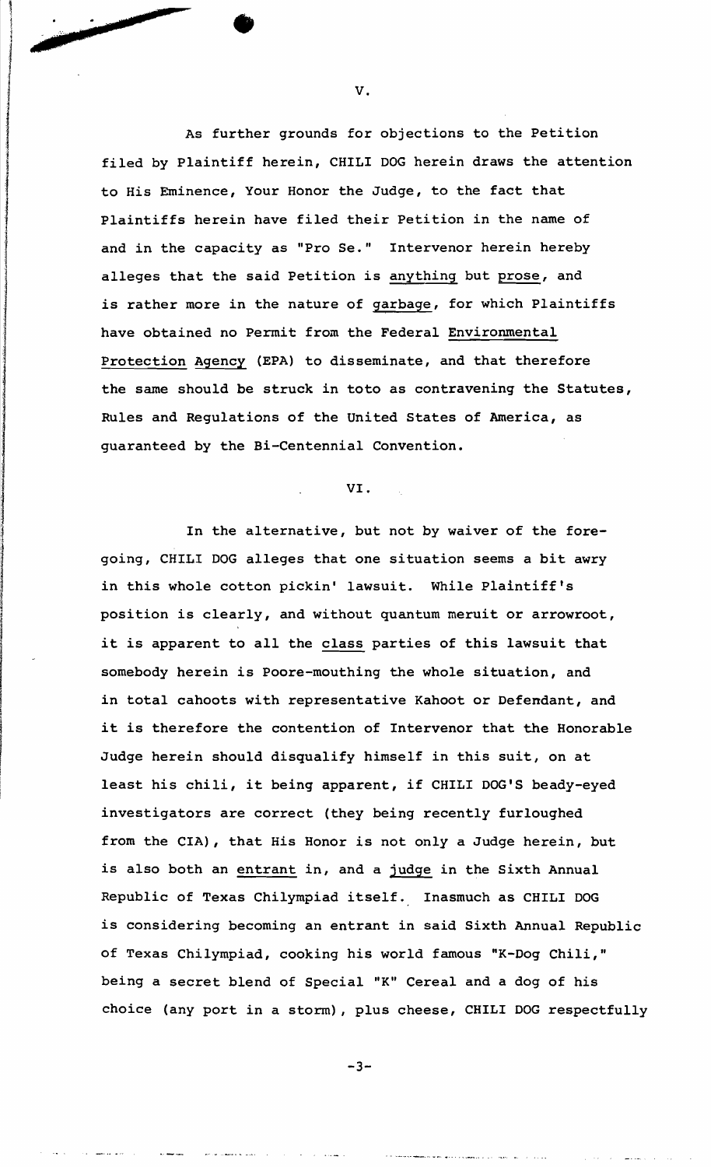As further grounds for objections to the Petition filed by Plaintiff herein, CHILI DOG herein draws the attention to His Eminence, Your Honor the Judge, to the fact that Plaintiffs herein have filed their Petition in the name of and in the capacity as "Pro Se." Intervenor herein hereby alleges that the said Petition is anything but prose, and is rather more in the nature of garbage, for which Plaintiffs have obtained no Permit from the Federal Environmental Protection Agency (EPA) to disseminate, and that therefore the same should be struck in toto as contravening the Statutes, Rules and Regulations of the United States of America, as guaranteed by the Bi-Centennial Convention.

### VI.

In the alternative, but not by waiver of the foregoing, CHILI DOG alleges that one situation seems a bit awry in this whole cotton pickin' lawsuit. While Plaintiff's position is clearly, and without quantum meruit or arrowroot, it is apparent to all the class parties of this lawsuit that somebody herein is Poore-mouthing the whole situation, and in total cahoots with representative Kahoot or Defendant, and it is therefore the contention of Intervenor that the Honorable Judge herein should disqualify himself in this suit, on at least his chili, it being apparent, if CHILI DOG'S beady-eyed investigators are correct (they being recently furloughed from the CIA), that His Honor is not only a Judge herein, but is also both an entrant in, and a judge in the Sixth Annual Republic of Texas Chilympiad itself. Inasmuch as CHILI DOG is considering becoming an entrant in said Sixth Annual Republic of Texas Chilympiad, cooking his world famous "K-Dog Chili," being a secret blend of Special "K" Cereal and a dog of his choice (any port in a storm), plus cheese, CHILI DOG respectfully

V.

 $-3-$